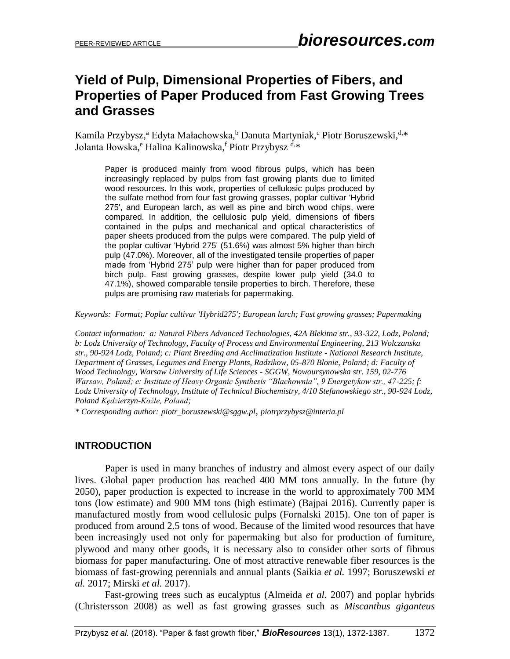### **Yield of Pulp, Dimensional Properties of Fibers, and Properties of Paper Produced from Fast Growing Trees and Grasses**

Kamila Przybysz,<sup>a</sup> Edyta Małachowska, bDanuta Martyniak, <sup>c</sup> Piotr Boruszewski, <sup>d,\*</sup> Jolanta Iłowska,<sup>e</sup> Halina Kalinowska,<sup>f</sup> Piotr Przybysz <sup>d,</sup>\*

Paper is produced mainly from wood fibrous pulps, which has been increasingly replaced by pulps from fast growing plants due to limited wood resources. In this work, properties of cellulosic pulps produced by the sulfate method from four fast growing grasses, poplar cultivar 'Hybrid 275', and European larch, as well as pine and birch wood chips, were compared. In addition, the cellulosic pulp yield, dimensions of fibers contained in the pulps and mechanical and optical characteristics of paper sheets produced from the pulps were compared. The pulp yield of the poplar cultivar 'Hybrid 275' (51.6%) was almost 5% higher than birch pulp (47.0%). Moreover, all of the investigated tensile properties of paper made from 'Hybrid 275' pulp were higher than for paper produced from birch pulp. Fast growing grasses, despite lower pulp yield (34.0 to 47.1%), showed comparable tensile properties to birch. Therefore, these pulps are promising raw materials for papermaking.

*Keywords: Format; Poplar cultivar 'Hybrid275'; European larch; Fast growing grasses; Papermaking*

*Contact information: a: Natural Fibers Advanced Technologies, 42A Blekitna str., 93-322, Lodz, Poland; b: Lodz University of Technology, Faculty of Process and Environmental Engineering, 213 Wolczanska str., 90-924 Lodz, Poland; c: Plant Breeding and Acclimatization Institute - National Research Institute, Department of Grasses, Legumes and Energy Plants, Radzikow, 05-870 Blonie, Poland; d: Faculty of Wood Technology, Warsaw University of Life Sciences - SGGW, Nowoursynowska str. 159, 02-776 Warsaw, Poland; e: Institute of Heavy Organic Synthesis "Blachownia", 9 Energetykow str., 47-225; f: Lodz University of Technology, Institute of Technical Biochemistry, 4/10 Stefanowskiego str., 90-924 Lodz, Poland Kędzierzyn-Koźle, Poland;* 

*\* Corresponding author: [piotr\\_boruszewski@sggw.pl](mailto:liujb3@ncsu.edu)*, *piotrprzybysz@interia.pl*

#### **INTRODUCTION**

Paper is used in many branches of industry and almost every aspect of our daily lives. Global paper production has reached 400 MM tons annually. In the future (by 2050), paper production is expected to increase in the world to approximately 700 MM tons (low estimate) and 900 MM tons (high estimate) (Bajpai 2016). Currently paper is manufactured mostly from wood cellulosic pulps (Fornalski 2015). One ton of paper is produced from around 2.5 tons of wood. Because of the limited wood resources that have been increasingly used not only for papermaking but also for production of furniture, plywood and many other goods, it is necessary also to consider other sorts of fibrous biomass for paper manufacturing. One of most attractive renewable fiber resources is the biomass of fast-growing perennials and annual plants (Saikia *et al.* 1997; Boruszewski *et al.* 2017; Mirski *et al.* 2017).

Fast-growing trees such as eucalyptus (Almeida *et al.* 2007) and poplar hybrids (Christersson 2008) as well as fast growing grasses such as *Miscanthus giganteus*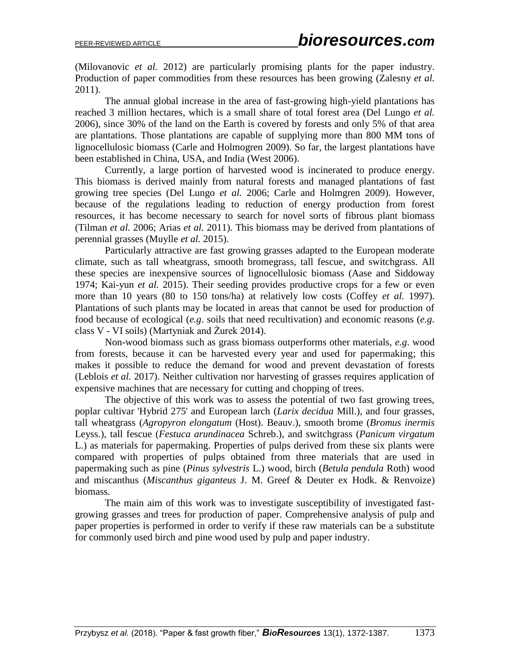(Milovanovic *et al.* 2012) are particularly promising plants for the paper industry. Production of paper commodities from these resources has been growing (Zalesny *et al.*) 2011).

The annual global increase in the area of fast-growing high-yield plantations has reached 3 million hectares, which is a small share of total forest area (Del Lungo *et al.* 2006), since 30% of the land on the Earth is covered by forests and only 5% of that area are plantations. Those plantations are capable of supplying more than 800 MM tons of lignocellulosic biomass (Carle and Holmogren 2009). So far, the largest plantations have been established in China, USA, and India (West 2006).

Currently, a large portion of harvested wood is incinerated to produce energy. This biomass is derived mainly from natural forests and managed plantations of fast growing tree species (Del Lungo *et al.* 2006; Carle and Holmgren 2009). However, because of the regulations leading to reduction of energy production from forest resources, it has become necessary to search for novel sorts of fibrous plant biomass (Tilman *et al.* 2006; Arias *et al.* 2011). This biomass may be derived from plantations of perennial grasses (Muylle *et al.* 2015).

Particularly attractive are fast growing grasses adapted to the European moderate climate, such as tall wheatgrass, smooth bromegrass, tall fescue, and switchgrass. All these species are inexpensive sources of lignocellulosic biomass (Aase and Siddoway 1974; Kai-yun *et al.* 2015). Their seeding provides productive crops for a few or even more than 10 years (80 to 150 tons/ha) at relatively low costs (Coffey *et al.* 1997). Plantations of such plants may be located in areas that cannot be used for production of food because of ecological (*e.g*. soils that need recultivation) and economic reasons (*e.g*. class V - VI soils) (Martyniak and Żurek 2014).

Non-wood biomass such as grass biomass outperforms other materials, *e.g*. wood from forests, because it can be harvested every year and used for papermaking; this makes it possible to reduce the demand for wood and prevent devastation of forests (Leblois *et al.* 2017). Neither cultivation nor harvesting of grasses requires application of expensive machines that are necessary for cutting and chopping of trees.

The objective of this work was to assess the potential of two fast growing trees, poplar cultivar 'Hybrid 275' and European larch (*Larix decidua* Mill.), and four grasses, tall wheatgrass (*Agropyron elongatum* (Host). Beauv.), smooth brome (*Bromus inermis* Leyss.), tall fescue (*Festuca arundinacea* Schreb.), and switchgrass (*Panicum virgatum* L.) as materials for papermaking. Properties of pulps derived from these six plants were compared with properties of pulps obtained from three materials that are used in papermaking such as pine (*Pinus sylvestris* L.) wood, birch (*Betula pendula* Roth) wood and miscanthus (*Miscanthus giganteus* J. M. Greef & Deuter ex Hodk. & Renvoize) biomass.

The main aim of this work was to investigate susceptibility of investigated fastgrowing grasses and trees for production of paper. Comprehensive analysis of pulp and paper properties is performed in order to verify if these raw materials can be a substitute for commonly used birch and pine wood used by pulp and paper industry.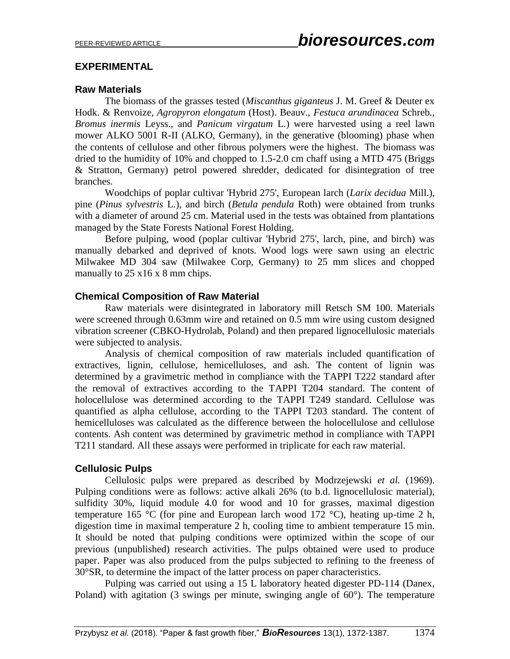#### **EXPERIMENTAL**

#### **Raw Materials**

The biomass of the grasses tested (*Miscanthus giganteus* J. M. Greef & Deuter ex Hodk. & Renvoize, *Agropyron elongatum* (Host). Beauv., *Festuca arundinacea* Schreb., *Bromus inermis* Leyss., and *Panicum virgatum* L.) were harvested using a reel lawn mower ALKO 5001 R-II (ALKO, Germany), in the generative (blooming) phase when the contents of cellulose and other fibrous polymers were the highest. The biomass was dried to the humidity of 10% and chopped to 1.5-2.0 cm chaff using a MTD 475 (Briggs & Stratton, Germany) petrol powered shredder, dedicated for disintegration of tree branches.

Woodchips of poplar cultivar 'Hybrid 275', European larch (*Larix decidua* Mill.), pine (*Pinus sylvestris* L.), and birch (*Betula pendula* Roth) were obtained from trunks with a diameter of around 25 cm. Material used in the tests was obtained from plantations managed by the State Forests National Forest Holding.

Before pulping, wood (poplar cultivar 'Hybrid 275', larch, pine, and birch) was manually debarked and deprived of knots. Wood logs were sawn using an electric Milwakee MD 304 saw (Milwakee Corp, Germany) to 25 mm slices and chopped manually to 25 x 16 x 8 mm chips.

#### **Chemical Composition of Raw Material**

Raw materials were disintegrated in laboratory mill Retsch SM 100. Materials were screened through 0.63mm wire and retained on 0.5 mm wire using custom designed vibration screener (CBKO-Hydrolab, Poland) and then prepared lignocellulosic materials were subjected to analysis.

Analysis of chemical composition of raw materials included quantification of extractives, lignin, cellulose, hemicelluloses, and ash. The content of lignin was determined by a gravimetric method in compliance with the TAPPI T222 standard after the removal of extractives according to the TAPPI T204 standard. The content of holocellulose was determined according to the TAPPI T249 standard. Cellulose was quantified as alpha cellulose, according to the TAPPI T203 standard. The content of hemicelluloses was calculated as the difference between the holocellulose and cellulose contents. Ash content was determined by gravimetric method in compliance with TAPPI T211 standard. All these assays were performed in triplicate for each raw material.

#### **Cellulosic Pulps**

Cellulosic pulps were prepared as described by Modrzejewski *et al.* (1969). Pulping conditions were as follows: active alkali 26% (to b.d. lignocellulosic material), sulfidity 30%, liquid module 4.0 for wood and 10 for grasses, maximal digestion temperature 165 °C (for pine and European larch wood 172 °C), heating up-time 2 h, digestion time in maximal temperature 2 h, cooling time to ambient temperature 15 min. It should be noted that pulping conditions were optimized within the scope of our previous (unpublished) research activities. The pulps obtained were used to produce paper. Paper was also produced from the pulps subjected to refining to the freeness of 30°SR, to determine the impact of the latter process on paper characteristics.

Pulping was carried out using a 15 L laboratory heated digester PD-114 (Danex, Poland) with agitation (3 swings per minute, swinging angle of 60°). The temperature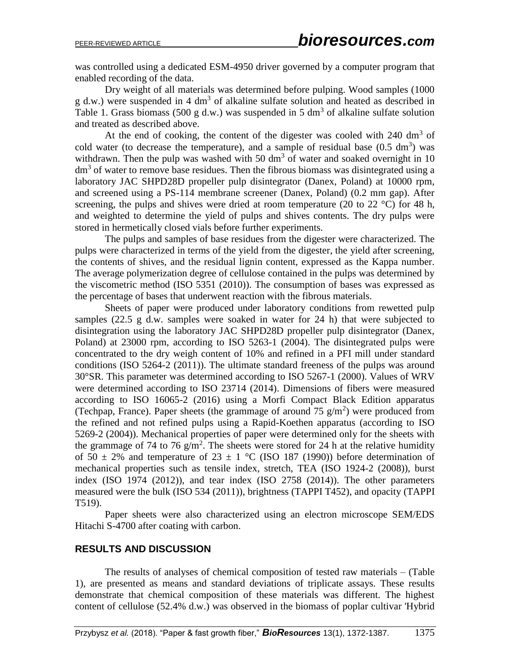was controlled using a dedicated ESM-4950 driver governed by a computer program that enabled recording of the data.

Dry weight of all materials was determined before pulping. Wood samples (1000  $g$  d.w.) were suspended in 4 dm<sup>3</sup> of alkaline sulfate solution and heated as described in Table 1. Grass biomass (500 g d.w.) was suspended in 5 dm<sup>3</sup> of alkaline sulfate solution and treated as described above.

At the end of cooking, the content of the digester was cooled with  $240 \text{ dm}^3$  of cold water (to decrease the temperature), and a sample of residual base  $(0.5 \text{ dm}^3)$  was withdrawn. Then the pulp was washed with 50  $\text{dm}^3$  of water and soaked overnight in 10  $dm<sup>3</sup>$  of water to remove base residues. Then the fibrous biomass was disintegrated using a laboratory JAC SHPD28D propeller pulp disintegrator (Danex, Poland) at 10000 rpm, and screened using a PS-114 membrane screener (Danex, Poland) (0.2 mm gap). After screening, the pulps and shives were dried at room temperature (20 to 22  $^{\circ}$ C) for 48 h, and weighted to determine the yield of pulps and shives contents. The dry pulps were stored in hermetically closed vials before further experiments.

The pulps and samples of base residues from the digester were characterized. The pulps were characterized in terms of the yield from the digester, the yield after screening, the contents of shives, and the residual lignin content, expressed as the Kappa number. The average polymerization degree of cellulose contained in the pulps was determined by the viscometric method (ISO 5351 (2010)). The consumption of bases was expressed as the percentage of bases that underwent reaction with the fibrous materials.

Sheets of paper were produced under laboratory conditions from rewetted pulp samples (22.5 g d.w. samples were soaked in water for 24 h) that were subjected to disintegration using the laboratory JAC SHPD28D propeller pulp disintegrator (Danex, Poland) at 23000 rpm, according to ISO 5263-1 (2004). The disintegrated pulps were concentrated to the dry weigh content of 10% and refined in a PFI mill under standard conditions (ISO 5264-2 (2011)). The ultimate standard freeness of the pulps was around 30°SR. This parameter was determined according to ISO 5267-1 (2000). Values of WRV were determined according to ISO 23714 (2014). Dimensions of fibers were measured according to ISO 16065-2 (2016) using a Morfi Compact Black Edition apparatus (Techpap, France). Paper sheets (the grammage of around 75  $g/m<sup>2</sup>$ ) were produced from the refined and not refined pulps using a Rapid-Koethen apparatus (according to ISO 5269-2 (2004)). Mechanical properties of paper were determined only for the sheets with the grammage of 74 to 76  $g/m^2$ . The sheets were stored for 24 h at the relative humidity of  $50 \pm 2\%$  and temperature of  $23 \pm 1$  °C (ISO 187 (1990)) before determination of mechanical properties such as tensile index, stretch, TEA (ISO 1924-2 (2008)), burst index (ISO 1974 (2012)), and tear index (ISO 2758 (2014)). The other parameters measured were the bulk (ISO 534 (2011)), brightness (TAPPI T452), and opacity (TAPPI T519).

Paper sheets were also characterized using an electron microscope SEM/EDS Hitachi S-4700 after coating with carbon.

#### **RESULTS AND DISCUSSION**

The results of analyses of chemical composition of tested raw materials – (Table 1), are presented as means and standard deviations of triplicate assays. These results demonstrate that chemical composition of these materials was different. The highest content of cellulose (52.4% d.w.) was observed in the biomass of poplar cultivar 'Hybrid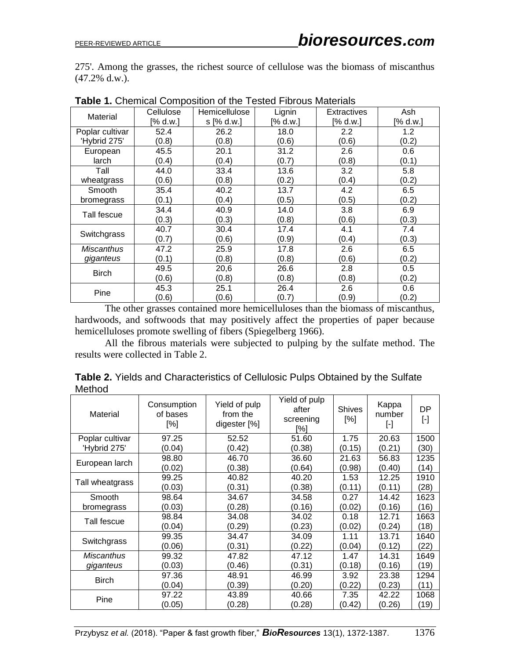275'. Among the grasses, the richest source of cellulose was the biomass of miscanthus (47.2% d.w.).

|                 | Cellulose | Hemicellulose | Lignin   | <b>Extractives</b> | Ash      |
|-----------------|-----------|---------------|----------|--------------------|----------|
| Material        | [% d.w.]  | $s$ [% d.w.]  | [% d.w.] | [% d.w.]           | [% d.w.] |
| Poplar cultivar | 52.4      | 26.2          | 18.0     | 2.2                | 1.2      |
| 'Hybrid 275'    | (0.8)     | (0.8)         | (0.6)    | (0.6)              | (0.2)    |
| European        | 45.5      | 20.1          | 31.2     | 2.6                | 0.6      |
| larch           | (0.4)     | (0.4)         | (0.7)    | (0.8)              | (0.1)    |
| Tall            | 44.0      | 33.4          | 13.6     | 3.2                | 5.8      |
| wheatgrass      | (0.6)     | (0.8)         | (0.2)    | (0.4)              | (0.2)    |
| Smooth          | 35.4      | 40.2          | 13.7     | 4.2                | 6.5      |
| bromegrass      | (0.1)     | (0.4)         | (0.5)    | (0.5)              | (0.2)    |
|                 | 34.4      | 40.9          | 14.0     | 3.8                | 6.9      |
| Tall fescue     | (0.3)     | (0.3)         | (0.8)    | (0.6)              | (0.3)    |
|                 | 40.7      | 30.4          | 17.4     | 4.1                | 7.4      |
| Switchgrass     | (0.7)     | (0.6)         | (0.9)    | (0.4)              | (0.3)    |
| Miscanthus      | 47.2      | 25.9          | 17.8     | 2.6                | 6.5      |
| giganteus       | (0.1)     | (0.8)         | (0.8)    | (0.6)              | (0.2)    |
|                 | 49.5      | 20,6          | 26.6     | 2.8                | 0.5      |
| <b>Birch</b>    | (0.6)     | (0.8)         | (0.8)    | (0.8)              | (0.2)    |
| Pine            | 45.3      | 25.1          | 26.4     | 2.6                | 0.6      |
|                 | (0.6)     | (0.6)         | (0.7)    | (0.9)              | (0.2)    |

**Table 1.** Chemical Composition of the Tested Fibrous Materials

The other grasses contained more hemicelluloses than the biomass of miscanthus, hardwoods, and softwoods that may positively affect the properties of paper because hemicelluloses promote swelling of fibers (Spiegelberg 1966).

All the fibrous materials were subjected to pulping by the sulfate method. The results were collected in Table 2.

| <b>Table 2.</b> Yields and Characteristics of Cellulosic Pulps Obtained by the Sulfate |  |
|----------------------------------------------------------------------------------------|--|
| Method                                                                                 |  |

| Material          | Consumption<br>of bases<br>[%] | Yield of pulp<br>from the<br>digester [%] | Yield of pulp<br>after<br>screening<br>[%] | <b>Shives</b><br>[%] | Kappa<br>number<br>$[\cdot]$ | DP<br>$\lbrack \cdot \rbrack$ |
|-------------------|--------------------------------|-------------------------------------------|--------------------------------------------|----------------------|------------------------------|-------------------------------|
| Poplar cultivar   | 97.25                          | 52.52                                     | 51.60                                      | 1.75                 | 20.63                        | 1500                          |
| 'Hybrid 275'      | (0.04)                         | (0.42)                                    | (0.38)                                     | (0.15)               | (0.21)                       | (30)                          |
| European larch    | 98.80                          | 46.70                                     | 36.60                                      | 21.63                | 56.83                        | 1235                          |
|                   | (0.02)                         | (0.38)                                    | (0.64)                                     | (0.98)               | (0.40)                       | (14)                          |
| Tall wheatgrass   | 99.25                          | 40.82                                     | 40.20                                      | 1.53                 | 12.25                        | 1910                          |
|                   | (0.03)                         | (0.31)                                    | (0.38)                                     | (0.11)               | (0.11)                       | (28)                          |
| Smooth            | 98.64                          | 34.67                                     | 34.58                                      | 0.27                 | 14.42                        | 1623                          |
| bromegrass        | (0.03)                         | (0.28)                                    | (0.16)                                     | (0.02)               | (0.16)                       | (16)                          |
| Tall fescue       | 98.84                          | 34.08                                     | 34.02                                      | 0.18                 | 12.71                        | 1663                          |
|                   | (0.04)                         | (0.29)                                    | (0.23)                                     | (0.02)               | (0.24)                       | (18)                          |
|                   | 99.35                          | 34.47                                     | 34.09                                      | 1.11                 | 13.71                        | 1640                          |
| Switchgrass       | (0.06)                         | (0.31)                                    | (0.22)                                     | (0.04)               | (0.12)                       | (22)                          |
| <b>Miscanthus</b> | 99.32                          | 47.82                                     | 47.12                                      | 1.47                 | 14.31                        | 1649                          |
| giganteus         | (0.03)                         | (0.46)                                    | (0.31)                                     | (0.18)               | (0.16)                       | (19)                          |
|                   | 97.36                          | 48.91                                     | 46.99                                      | 3.92                 | 23.38                        | 1294                          |
| <b>Birch</b>      | (0.04)                         | (0.39)                                    | (0.20)                                     | (0.22)               | (0.23)                       | (11)                          |
| Pine              | 97.22                          | 43.89                                     | 40.66                                      | 7.35                 | 42.22                        | 1068                          |
|                   | (0.05)                         | (0.28)                                    | (0.28)                                     | (0.42)               | (0.26)                       | (19)                          |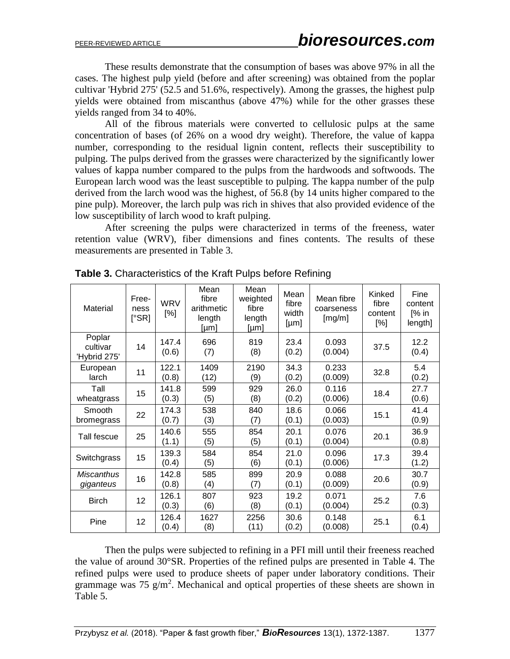These results demonstrate that the consumption of bases was above 97% in all the cases. The highest pulp yield (before and after screening) was obtained from the poplar cultivar 'Hybrid 275' (52.5 and 51.6%, respectively). Among the grasses, the highest pulp yields were obtained from miscanthus (above 47%) while for the other grasses these yields ranged from 34 to 40%.

All of the fibrous materials were converted to cellulosic pulps at the same concentration of bases (of 26% on a wood dry weight). Therefore, the value of kappa number, corresponding to the residual lignin content, reflects their susceptibility to pulping. The pulps derived from the grasses were characterized by the significantly lower values of kappa number compared to the pulps from the hardwoods and softwoods. The European larch wood was the least susceptible to pulping. The kappa number of the pulp derived from the larch wood was the highest, of 56.8 (by 14 units higher compared to the pine pulp). Moreover, the larch pulp was rich in shives that also provided evidence of the low susceptibility of larch wood to kraft pulping.

After screening the pulps were characterized in terms of the freeness, water retention value (WRV), fiber dimensions and fines contents. The results of these measurements are presented in Table 3.

| Material                           | Free-<br>ness<br>[°SR] | <b>WRV</b><br>[%] | Mean<br>fibre<br>arithmetic<br>length<br>[µm] | Mean<br>weighted<br>fibre<br>length<br>[µm] | Mean<br>fibre<br>width<br>[µm] | Mean fibre<br>coarseness<br>[mg/m] | Kinked<br>fibre<br>content<br>$[\%]$ | Fine<br>content<br>$\sqrt{2}$ in<br>length] |
|------------------------------------|------------------------|-------------------|-----------------------------------------------|---------------------------------------------|--------------------------------|------------------------------------|--------------------------------------|---------------------------------------------|
| Poplar<br>cultivar<br>'Hybrid 275' | 14                     | 147.4<br>(0.6)    | 696<br>(7)                                    | 819<br>(8)                                  | 23.4<br>(0.2)                  | 0.093<br>(0.004)                   | 37.5                                 | 12.2<br>(0.4)                               |
| European<br>larch                  | 11                     | 122.1<br>(0.8)    | 1409<br>(12)                                  | 2190<br>(9)                                 | 34.3<br>(0.2)                  | 0.233<br>(0.009)                   | 32.8                                 | 5.4<br>(0.2)                                |
| Tall<br>wheatgrass                 | 15                     | 141.8<br>(0.3)    | 599<br>(5)                                    | 929<br>(8)                                  | 26.0<br>(0.2)                  | 0.116<br>(0.006)                   | 18.4                                 | 27.7<br>(0.6)                               |
| Smooth<br>bromegrass               | 22                     | 174.3<br>(0.7)    | 538<br>(3)                                    | 840<br>(7)                                  | 18.6<br>(0.1)                  | 0.066<br>(0.003)                   | 15.1                                 | 41.4<br>(0.9)                               |
| Tall fescue                        | 25                     | 140.6<br>(1.1)    | 555<br>(5)                                    | 854<br>(5)                                  | 20.1<br>(0.1)                  | 0.076<br>(0.004)                   | 20.1                                 | 36.9<br>(0.8)                               |
| Switchgrass                        | 15                     | 139.3<br>(0.4)    | 584<br>(5)                                    | 854<br>(6)                                  | 21.0<br>(0.1)                  | 0.096<br>(0.006)                   | 17.3                                 | 39.4<br>(1.2)                               |
| <b>Miscanthus</b><br>giganteus     | 16                     | 142.8<br>(0.8)    | 585<br>(4)                                    | 899<br>(7)                                  | 20.9<br>(0.1)                  | 0.088<br>(0.009)                   | 20.6                                 | 30.7<br>(0.9)                               |
| <b>Birch</b>                       | 12                     | 126.1<br>(0.3)    | 807<br>(6)                                    | 923<br>(8)                                  | 19.2<br>(0.1)                  | 0.071<br>(0.004)                   | 25.2                                 | 7.6<br>(0.3)                                |
| Pine                               | 12                     | 126.4<br>(0.4)    | 1627<br>(8)                                   | 2256<br>(11)                                | 30.6<br>(0.2)                  | 0.148<br>(0.008)                   | 25.1                                 | 6.1<br>(0.4)                                |

**Table 3.** Characteristics of the Kraft Pulps before Refining

Then the pulps were subjected to refining in a PFI mill until their freeness reached the value of around 30°SR. Properties of the refined pulps are presented in Table 4. The refined pulps were used to produce sheets of paper under laboratory conditions. Their grammage was  $75 \text{ g/m}^2$ . Mechanical and optical properties of these sheets are shown in Table 5.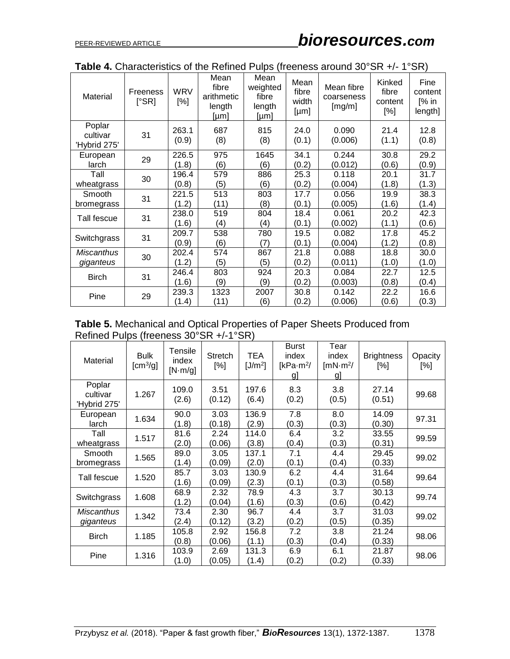| Material                           | Freeness<br>$[^{\circ}$ SR] | <b>WRV</b><br>[%] | Mean<br>fibre<br>arithmetic<br>length<br>[µm] | Mean<br>weighted<br>fibre<br>length<br>[µm] | Mean<br>fibre<br>width<br>[µm] | Mean fibre<br>coarseness<br>[mg/m] | Kinked<br>fibre<br>content<br>[%] | Fine<br>content<br>[% in<br>length] |
|------------------------------------|-----------------------------|-------------------|-----------------------------------------------|---------------------------------------------|--------------------------------|------------------------------------|-----------------------------------|-------------------------------------|
| Poplar<br>cultivar<br>'Hybrid 275' | 31                          | 263.1<br>(0.9)    | 687<br>(8)                                    | 815<br>(8)                                  | 24.0<br>(0.1)                  | 0.090<br>(0.006)                   | 21.4<br>(1.1)                     | 12.8<br>(0.8)                       |
| European<br>larch                  | 29                          | 226.5<br>(1.8)    | 975<br>(6)                                    | 1645<br>(6)                                 | 34.1<br>(0.2)                  | 0.244<br>(0.012)                   | 30.8<br>(0.6)                     | 29.2<br>(0.9)                       |
| Tall<br>wheatgrass                 | 30                          | 196.4<br>(0.8)    | 579<br>(5)                                    | 886<br>(6)                                  | 25.3<br>(0.2)                  | 0.118<br>(0.004)                   | 20.1<br>(1.8)                     | 31.7<br>(1.3)                       |
| Smooth<br>bromegrass               | 31                          | 221.5<br>(1.2)    | 513<br>(11)                                   | 803<br>(8)                                  | 17.7<br>(0.1)                  | 0.056<br>(0.005)                   | 19.9<br>(1.6)                     | 38.3<br>(1.4)                       |
| Tall fescue                        | 31                          | 238.0<br>(1.6)    | 519<br>(4)                                    | 804<br>(4)                                  | 18.4<br>(0.1)                  | 0.061<br>(0.002)                   | 20.2<br>(1.1)                     | 42.3<br>(0.6)                       |
| Switchgrass                        | 31                          | 209.7<br>(0.9)    | 538<br>(6)                                    | 780<br>(7)                                  | 19.5<br>(0.1)                  | 0.082<br>(0.004)                   | 17.8<br>(1.2)                     | 45.2<br>(0.8)                       |
| <b>Miscanthus</b><br>giganteus     | 30                          | 202.4<br>(1.2)    | 574<br>(5)                                    | 867<br>(5)                                  | 21.8<br>(0.2)                  | 0.088<br>(0.011)                   | 18.8<br>(1.0)                     | 30.0<br>(1.0)                       |
| <b>Birch</b>                       | 31                          | 246.4<br>(1.6)    | 803<br>(9)                                    | 924<br>(9)                                  | 20.3<br>(0.2)                  | 0.084<br>(0.003)                   | 22.7<br>(0.8)                     | 12.5<br>(0.4)                       |
| Pine                               | 29                          | 239.3<br>(1.4)    | 1323<br>(11)                                  | 2007<br>(6)                                 | 30.8<br>(0.2)                  | 0.142<br>(0.006)                   | 22.2<br>(0.6)                     | 16.6<br>(0.3)                       |

| Table 4. Characteristics of the Refined Pulps (freeness around 30°SR +/- 1°SR) |  |  |
|--------------------------------------------------------------------------------|--|--|
|                                                                                |  |  |

**Table 5.** Mechanical and Optical Properties of Paper Sheets Produced from Refined Pulps (freeness 30°SR +/-1°SR)

| Material                           | <b>Bulk</b><br>[cm <sup>3</sup> /g] | Tensile<br>index<br>[N·m/g] | <b>Stretch</b><br>[%] | TEA<br>[J/m <sup>2</sup> ] | <b>Burst</b><br>index<br>[ $kPa·m²/$<br><u>g]</u> | Tear<br>index<br>$\text{ImN}\cdot\text{m}^2$ /<br>gJ | <b>Brightness</b><br>$[\%]$ | Opacity<br>[%] |
|------------------------------------|-------------------------------------|-----------------------------|-----------------------|----------------------------|---------------------------------------------------|------------------------------------------------------|-----------------------------|----------------|
| Poplar<br>cultivar<br>'Hybrid 275' | 1.267                               | 109.0<br>(2.6)              | 3.51<br>(0.12)        | 197.6<br>(6.4)             | 8.3<br>(0.2)                                      | 3.8<br>(0.5)                                         | 27.14<br>(0.51)             | 99.68          |
| European<br>larch                  | 1.634                               | 90.0<br>(1.8)               | 3.03<br>(0.18)        | 136.9<br>(2.9)             | 7.8<br>(0.3)                                      | 8.0<br>(0.3)                                         | 14.09<br>(0.30)             | 97.31          |
| Tall<br>wheatgrass                 | 1.517                               | 81.6<br>(2.0)               | 2.24<br>(0.06)        | 114.0<br>(3.8)             | 6.4<br>(0.4)                                      | 3.2<br>(0.3)                                         | 33.55<br>(0.31)             | 99.59          |
| Smooth<br>bromegrass               | 1.565                               | 89.0<br>(1.4)               | 3.05<br>(0.09)        | 137.1<br>(2.0)             | 7.1<br>(0.1)                                      | 4.4<br>(0.4)                                         | 29.45<br>(0.33)             | 99.02          |
| Tall fescue                        | 1.520                               | 85.7<br>(1.6)               | 3.03<br>(0.09)        | 130.9<br>(2.3)             | 6.2<br>(0.1)                                      | 4.4<br>(0.3)                                         | 31.64<br>(0.58)             | 99.64          |
| Switchgrass                        | 1.608                               | 68.9<br>(1.2)               | 2.32<br>(0.04)        | 78.9<br>(1.6)              | 4.3<br>(0.3)                                      | 3.7<br>(0.6)                                         | 30.13<br>(0.42)             | 99.74          |
| <b>Miscanthus</b><br>giganteus     | 1.342                               | 73.4<br>(2.4)               | 2.30<br>(0.12)        | 96.7<br>(3.2)              | 4.4<br>(0.2)                                      | 3.7<br>(0.5)                                         | 31.03<br>(0.35)             | 99.02          |
| <b>Birch</b>                       | 1.185                               | 105.8<br>(0.8)              | 2.92<br>(0.06)        | 156.8<br>(1.1)             | 7.2<br>(0.3)                                      | 3.8<br>(0.4)                                         | 21.24<br>(0.33)             | 98.06          |
| Pine                               | 1.316                               | 103.9<br>(1.0)              | 2.69<br>(0.05)        | 131.3<br>(1.4)             | 6.9<br>(0.2)                                      | 6.1<br>(0.2)                                         | 21.87<br>(0.33)             | 98.06          |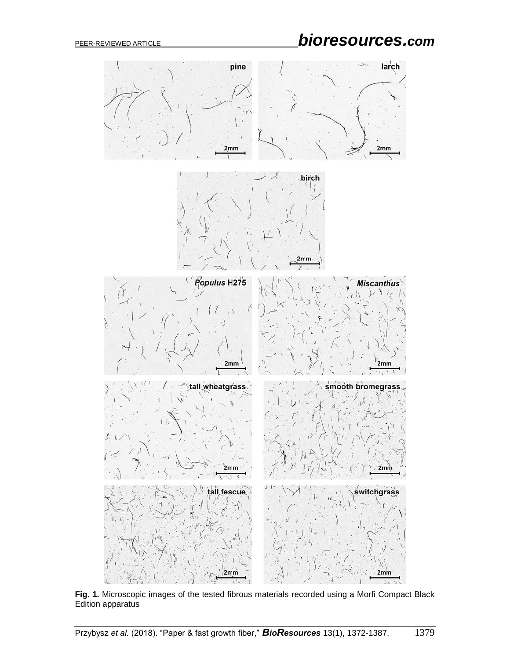# PEER-REVIEWED ARTICLE *bioresources.com*



**Fig. 1.** Microscopic images of the tested fibrous materials recorded using a Morfi Compact Black Edition apparatus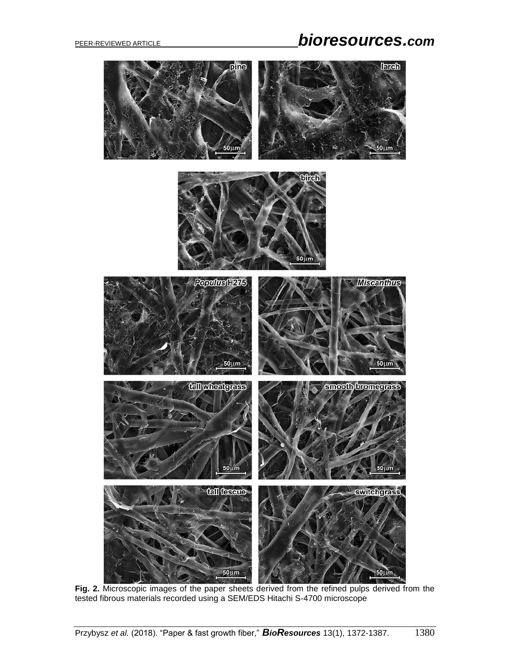## PEER-REVIEWED ARTICLE *bioresources.com*



**Fig. 2.** Microscopic images of the paper sheets derived from the refined pulps derived from the tested fibrous materials recorded using a SEM/EDS Hitachi S-4700 microscope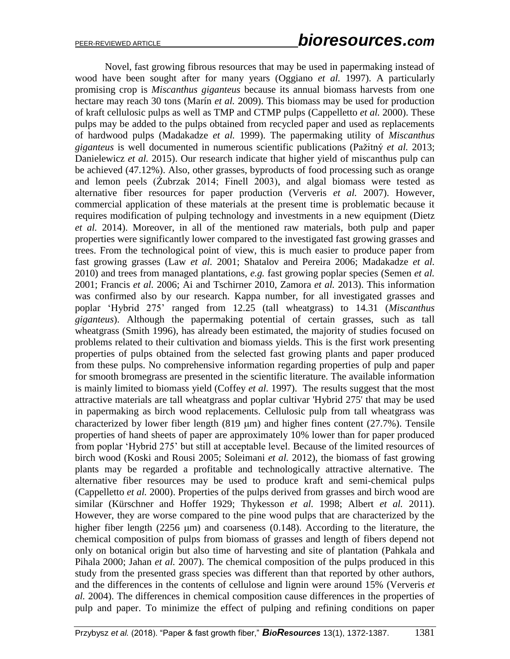Novel, fast growing fibrous resources that may be used in papermaking instead of wood have been sought after for many years (Oggiano *et al.* 1997). A particularly promising crop is *Miscanthus giganteus* because its annual biomass harvests from one hectare may reach 30 tons (Marín *et al.* 2009). This biomass may be used for production of kraft cellulosic pulps as well as TMP and CTMP pulps (Cappelletto *et al.* 2000). These pulps may be added to the pulps obtained from recycled paper and used as replacements of hardwood pulps (Madakadze *et al.* 1999). The papermaking utility of *Miscanthus giganteus* is well documented in numerous scientific publications (Pažitný *et al.* 2013; Danielewicz *et al.* 2015). Our research indicate that higher yield of miscanthus pulp can be achieved (47.12%). Also, other grasses, byproducts of food processing such as orange and lemon peels (Żubrzak 2014; Finell 2003), and algal biomass were tested as alternative fiber resources for paper production (Ververis *et al.* 2007). However, commercial application of these materials at the present time is problematic because it requires modification of pulping technology and investments in a new equipment (Dietz *et al.* 2014). Moreover, in all of the mentioned raw materials, both pulp and paper properties were significantly lower compared to the investigated fast growing grasses and trees. From the technological point of view, this is much easier to produce paper from fast growing grasses (Law *et al.* 2001; Shatalov and Pereira 2006; Madakadze *et al.* 2010) and trees from managed plantations, *e.g.* fast growing poplar species (Semen *et al.* 2001; Francis *et al.* 2006; Ai and Tschirner 2010, Zamora *et al.* 2013). This information was confirmed also by our research. Kappa number, for all investigated grasses and poplar 'Hybrid 275' ranged from 12.25 (tall wheatgrass) to 14.31 (*Miscanthus giganteus*). Although the papermaking potential of certain grasses, such as tall wheatgrass (Smith 1996), has already been estimated, the majority of studies focused on problems related to their cultivation and biomass yields. This is the first work presenting properties of pulps obtained from the selected fast growing plants and paper produced from these pulps. No comprehensive information regarding properties of pulp and paper for smooth bromegrass are presented in the scientific literature. The available information is mainly limited to biomass yield (Coffey *et al.* 1997). The results suggest that the most attractive materials are tall wheatgrass and poplar cultivar 'Hybrid 275' that may be used in papermaking as birch wood replacements. Cellulosic pulp from tall wheatgrass was characterized by lower fiber length (819  $\mu$ m) and higher fines content (27.7%). Tensile properties of hand sheets of paper are approximately 10% lower than for paper produced from poplar 'Hybrid 275' but still at acceptable level. Because of the limited resources of birch wood (Koski and Rousi 2005; Soleimani *et al.* 2012), the biomass of fast growing plants may be regarded a profitable and technologically attractive alternative. The alternative fiber resources may be used to produce kraft and semi-chemical pulps (Cappelletto *et al.* 2000). Properties of the pulps derived from grasses and birch wood are similar (Kürschner and Hoffer 1929; Thykesson *et al.* 1998; Albert *et al.* 2011). However, they are worse compared to the pine wood pulps that are characterized by the higher fiber length (2256  $\mu$ m) and coarseness (0.148). According to the literature, the chemical composition of pulps from biomass of grasses and length of fibers depend not only on botanical origin but also time of harvesting and site of plantation (Pahkala and Pihala 2000; Jahan *et al.* 2007). The chemical composition of the pulps produced in this study from the presented grass species was different than that reported by other authors, and the differences in the contents of cellulose and lignin were around 15% (Ververis *et al.* 2004). The differences in chemical composition cause differences in the properties of pulp and paper. To minimize the effect of pulping and refining conditions on paper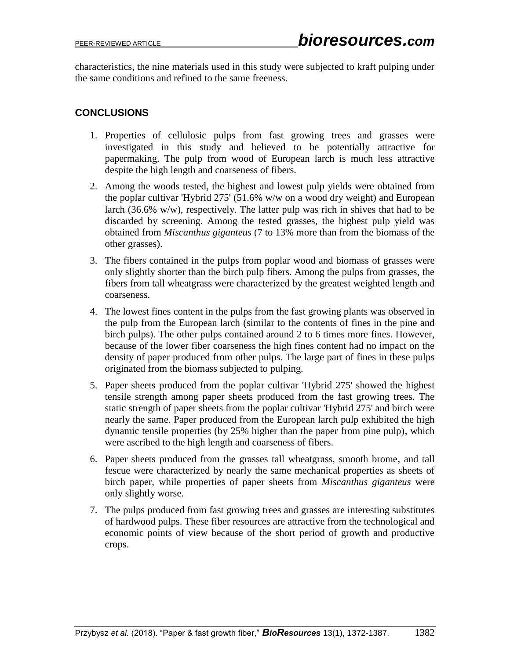characteristics, the nine materials used in this study were subjected to kraft pulping under the same conditions and refined to the same freeness.

#### **CONCLUSIONS**

- 1. Properties of cellulosic pulps from fast growing trees and grasses were investigated in this study and believed to be potentially attractive for papermaking. The pulp from wood of European larch is much less attractive despite the high length and coarseness of fibers.
- 2. Among the woods tested, the highest and lowest pulp yields were obtained from the poplar cultivar 'Hybrid 275' (51.6% w/w on a wood dry weight) and European larch (36.6% w/w), respectively. The latter pulp was rich in shives that had to be discarded by screening. Among the tested grasses, the highest pulp yield was obtained from *Miscanthus giganteus* (7 to 13% more than from the biomass of the other grasses).
- 3. The fibers contained in the pulps from poplar wood and biomass of grasses were only slightly shorter than the birch pulp fibers. Among the pulps from grasses, the fibers from tall wheatgrass were characterized by the greatest weighted length and coarseness.
- 4. The lowest fines content in the pulps from the fast growing plants was observed in the pulp from the European larch (similar to the contents of fines in the pine and birch pulps). The other pulps contained around 2 to 6 times more fines. However, because of the lower fiber coarseness the high fines content had no impact on the density of paper produced from other pulps. The large part of fines in these pulps originated from the biomass subjected to pulping.
- 5. Paper sheets produced from the poplar cultivar 'Hybrid 275' showed the highest tensile strength among paper sheets produced from the fast growing trees. The static strength of paper sheets from the poplar cultivar 'Hybrid 275' and birch were nearly the same. Paper produced from the European larch pulp exhibited the high dynamic tensile properties (by 25% higher than the paper from pine pulp), which were ascribed to the high length and coarseness of fibers.
- 6. Paper sheets produced from the grasses tall wheatgrass, smooth brome, and tall fescue were characterized by nearly the same mechanical properties as sheets of birch paper, while properties of paper sheets from *Miscanthus giganteus* were only slightly worse.
- 7. The pulps produced from fast growing trees and grasses are interesting substitutes of hardwood pulps. These fiber resources are attractive from the technological and economic points of view because of the short period of growth and productive crops.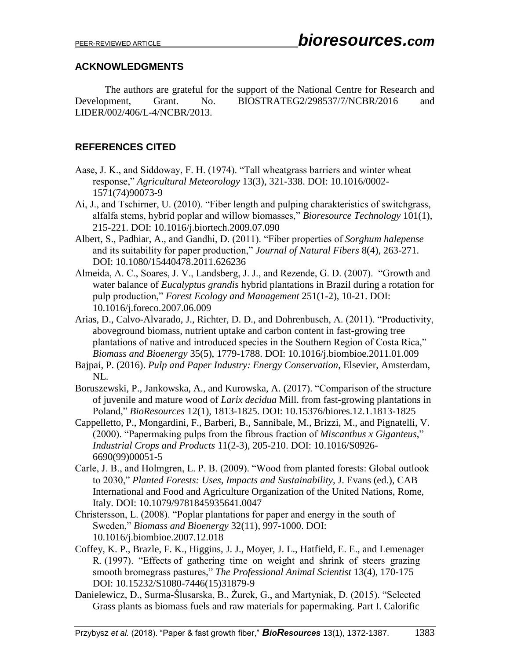#### **ACKNOWLEDGMENTS**

The authors are grateful for the support of the National Centre for Research and Development, Grant. No. BIOSTRATEG2/298537/7/NCBR/2016 and LIDER/002/406/L-4/NCBR/2013.

#### **REFERENCES CITED**

- Aase, J. K., and Siddoway, F. H. (1974). "Tall wheatgrass barriers and winter wheat response," *Agricultural Meteorology* 13(3), 321-338. DOI: 10.1016/0002- 1571(74)90073-9
- Ai, J., and Tschirner, U. (2010). "Fiber length and pulping charakteristics of switchgrass, alfalfa stems, hybrid poplar and willow biomasses," *Bioresource Technology* 101(1), 215-221. DOI: 10.1016/j.biortech.2009.07.090
- Albert, S., Padhiar, A., and Gandhi, D. (2011). "Fiber properties of *Sorghum halepense* and its suitability for paper production," *Journal of Natural Fibers* 8(4), 263-271. DOI: 10.1080/15440478.2011.626236
- Almeida, A. C., Soares, J. V., Landsberg, J. J., and Rezende, G. D. (2007). "Growth and water balance of *Eucalyptus grandis* hybrid plantations in Brazil during a rotation for pulp production," *Forest Ecology and Management* 251(1-2), 10-21. DOI: 10.1016/j.foreco.2007.06.009
- Arias, D., Calvo-Alvarado, J., Richter, D. D., and Dohrenbusch, A. (2011). "Productivity, aboveground biomass, nutrient uptake and carbon content in fast-growing tree plantations of native and introduced species in the Southern Region of Costa Rica," *Biomass and Bioenergy* 35(5), 1779-1788. DOI: 10.1016/j.biombioe.2011.01.009
- Bajpai, P. (2016). *Pulp and Paper Industry: Energy Conservation*, Elsevier, Amsterdam, NL.
- Boruszewski, P., Jankowska, A., and Kurowska, A. (2017). "Comparison of the structure of juvenile and mature wood of *Larix decidua* Mill. from fast-growing plantations in Poland," *BioResources* 12(1), 1813-1825. DOI: 10.15376/biores.12.1.1813-1825
- Cappelletto, P., Mongardini, F., Barberi, B., Sannibale, M., Brizzi, M., and Pignatelli, V. (2000). "Papermaking pulps from the fibrous fraction of *Miscanthus x Giganteus*," *Industrial Crops and Products* 11(2-3), 205-210. DOI: 10.1016/S0926- 6690(99)00051-5
- Carle, J. B., and Holmgren, L. P. B. (2009). "Wood from planted forests: Global outlook to 2030," *Planted Forests: Uses, Impacts and Sustainability*, J. Evans (ed.), CAB International and Food and Agriculture Organization of the United Nations, Rome, Italy. DOI: 10.1079/9781845935641.0047
- Christersson, L. (2008). "Poplar plantations for paper and energy in the south of Sweden," *Biomass and Bioenergy* 32(11), 997-1000. DOI: 10.1016/j.biombioe.2007.12.018
- Coffey, K. P., Brazle, F. K., Higgins, J. J., Moyer, J. L., Hatfield, E. E., and Lemenager R. (1997). "Effects of gathering time on weight and shrink of steers grazing smooth bromegrass pastures," *The Professional Animal Scientist* 13(4), 170-175 DOI: 10.15232/S1080-7446(15)31879-9
- Danielewicz, D., Surma-Ślusarska, B., Żurek, G., and Martyniak, D. (2015). "Selected Grass plants as biomass fuels and raw materials for papermaking. Part I. Calorific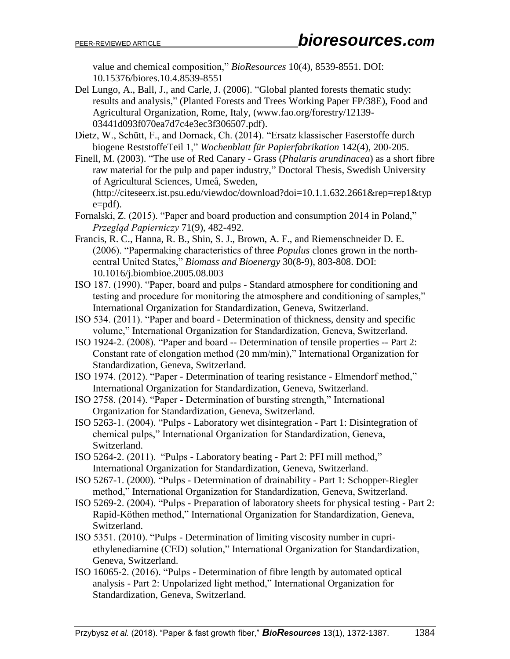value and chemical composition," *BioResources* 10(4), 8539-8551. DOI: 10.15376/biores.10.4.8539-8551

- Del Lungo, A., Ball, J., and Carle, J. (2006). "Global planted forests thematic study: results and analysis," (Planted Forests and Trees Working Paper FP/38E), Food and Agricultural Organization, Rome, Italy, (www.fao.org/forestry/12139- 03441d093f070ea7d7c4e3ec3f306507.pdf).
- Dietz, W., Schütt, F., and Dornack, Ch. (2014). "Ersatz klassischer Faserstoffe durch biogene ReststoffeTeil 1," *Wochenblatt für Papierfabrikation* 142(4), 200-205.
- Finell, M. (2003). "The use of Red Canary Grass (*Phalaris arundinacea*) as a short fibre raw material for the pulp and paper industry," Doctoral Thesis, Swedish University of Agricultural Sciences, Umeå, Sweden, (http://citeseerx.ist.psu.edu/viewdoc/download?doi=10.1.1.632.2661&rep=rep1&typ e=pdf).
- Fornalski, Z. (2015). "Paper and board production and consumption 2014 in Poland," *Przegląd Papierniczy* 71(9), 482-492.
- Francis, R. C., Hanna, R. B., Shin, S. J., Brown, A. F., and Riemenschneider D. E. (2006). "Papermaking characteristics of three *Populus* clones grown in the northcentral United States," *Biomass and Bioenergy* 30(8-9), 803-808. DOI: 10.1016/j.biombioe.2005.08.003
- ISO 187. (1990). "Paper, board and pulps Standard atmosphere for conditioning and testing and procedure for monitoring the atmosphere and conditioning of samples," International Organization for Standardization, Geneva, Switzerland.
- ISO 534. (2011). "Paper and board Determination of thickness, density and specific volume," International Organization for Standardization, Geneva, Switzerland.
- ISO 1924-2. (2008). "Paper and board -- Determination of tensile properties -- Part 2: Constant rate of elongation method (20 mm/min)," International Organization for Standardization, Geneva, Switzerland.
- ISO 1974. (2012). "Paper Determination of tearing resistance Elmendorf method," International Organization for Standardization, Geneva, Switzerland.
- ISO 2758. (2014). "Paper Determination of bursting strength," International Organization for Standardization, Geneva, Switzerland.
- ISO 5263-1. (2004). "Pulps Laboratory wet disintegration Part 1: Disintegration of chemical pulps," International Organization for Standardization, Geneva, Switzerland.
- ISO 5264-2. (2011). "Pulps Laboratory beating Part 2: PFI mill method," International Organization for Standardization, Geneva, Switzerland.
- ISO 5267-1. (2000). "Pulps Determination of drainability Part 1: Schopper-Riegler method," International Organization for Standardization, Geneva, Switzerland.
- ISO 5269-2. (2004). "Pulps Preparation of laboratory sheets for physical testing Part 2: Rapid-Köthen method," International Organization for Standardization, Geneva, Switzerland.
- ISO 5351. (2010). "Pulps Determination of limiting viscosity number in cupriethylenediamine (CED) solution," International Organization for Standardization, Geneva, Switzerland.
- ISO 16065-2. (2016). "Pulps Determination of fibre length by automated optical analysis - Part 2: Unpolarized light method," International Organization for Standardization, Geneva, Switzerland.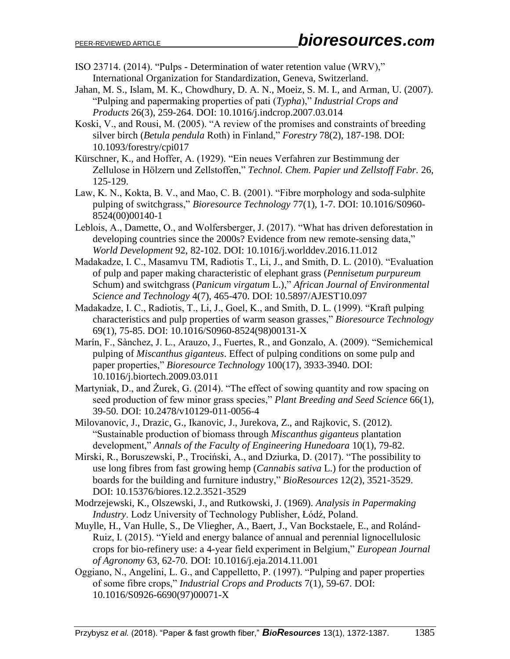- ISO 23714. (2014). "Pulps Determination of water retention value (WRV)," International Organization for Standardization, Geneva, Switzerland.
- Jahan, M. S., Islam, M. K., Chowdhury, D. A. N., Moeiz, S. M. I., and Arman, U. (2007). "Pulping and papermaking properties of pati (*Typha*)," *Industrial Crops and Products* 26(3), 259-264. DOI: 10.1016/j.indcrop.2007.03.014
- Koski, V., and Rousi, M. (2005). "A review of the promises and constraints of breeding silver birch (*Betula pendula* Roth) in Finland," *Forestry* 78(2), 187-198. DOI: 10.1093/forestry/cpi017
- Kürschner, K., and Hoffer, A. (1929). "Ein neues Verfahren zur Bestimmung der Zellulose in Hölzern und Zellstoffen," *Technol. Chem. Papier und Zellstoff Fabr.* 26, 125-129.
- Law, K. N., Kokta, B. V., and Mao, C. B. (2001). "Fibre morphology and soda-sulphite pulping of switchgrass," *Bioresource Technology* 77(1), 1-7. DOI: 10.1016/S0960- 8524(00)00140-1
- Leblois, A., Damette, O., and Wolfersberger, J. (2017). "What has driven deforestation in developing countries since the 2000s? Evidence from new remote-sensing data," *World Development* 92, 82-102. DOI: 10.1016/j.worlddev.2016.11.012
- Madakadze, I. C., Masamvu TM, Radiotis T., Li, J., and Smith, D. L. (2010). "Evaluation of pulp and paper making characteristic of elephant grass (*Pennisetum purpureum* Schum) and switchgrass (*Panicum virgatum* L.)," *African Journal of Environmental Science and Technology* 4(7), 465-470. DOI: 10.5897/AJEST10.097
- Madakadze, I. C., Radiotis, T., Li, J., Goel, K., and Smith, D. L. (1999). "Kraft pulping characteristics and pulp properties of warm season grasses," *Bioresource Technology* 69(1), 75-85. DOI: 10.1016/S0960-8524(98)00131-X
- Marín, F., Sànchez, J. L., Arauzo, J., Fuertes, R., and Gonzalo, A. (2009). "Semichemical pulping of *Miscanthus giganteus*. Effect of pulping conditions on some pulp and paper properties," *Bioresource Technology* 100(17), 3933-3940. DOI: 10.1016/j.biortech.2009.03.011
- Martyniak, D., and Żurek, G. (2014). "The effect of sowing quantity and row spacing on seed production of few minor grass species," *Plant Breeding and Seed Science* 66(1), 39-50. DOI: 10.2478/v10129-011-0056-4
- Milovanovic, J., Drazic, G., Ikanovic, J., Jurekova, Z., and Rajkovic, S. (2012). "Sustainable production of biomass through *Miscanthus giganteus* plantation development," *Annals of the Faculty of Engineering Hunedoara* 10(1), 79-82.
- Mirski, R., Boruszewski, P., Trociński, A., and Dziurka, D. (2017). "The possibility to use long fibres from fast growing hemp (*Cannabis sativa* L.) for the production of boards for the building and furniture industry," *BioResources* 12(2), 3521-3529. DOI: 10.15376/biores.12.2.3521-3529
- Modrzejewski, K., Olszewski, J., and Rutkowski, J. (1969). *Analysis in Papermaking Industry*. Lodz University of Technology Publisher, Łódź, Poland.
- Muylle, H., Van Hulle, S., De Vliegher, A., Baert, J., Van Bockstaele, E., and Rolánd-Ruiz, I. (2015). "Yield and energy balance of annual and perennial lignocellulosic crops for bio-refinery use: a 4-year field experiment in Belgium," *European Journal of Agronomy* 63, 62-70. DOI: 10.1016/j.eja.2014.11.001
- Oggiano, N., Angelini, L. G., and Cappelletto, P. (1997). "Pulping and paper properties of some fibre crops," *Industrial Crops and Products* 7(1), 59-67. DOI: 10.1016/S0926-6690(97)00071-X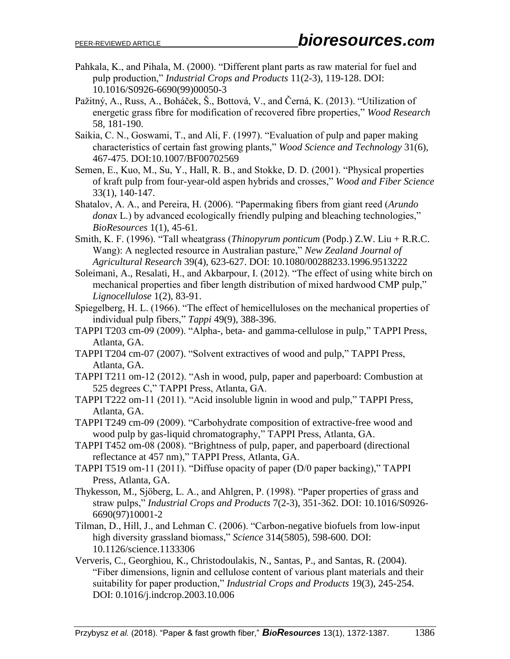- Pahkala, K., and Pihala, M. (2000). "Different plant parts as raw material for fuel and pulp production," *Industrial Crops and Products* 11(2-3), 119-128. DOI: 10.1016/S0926-6690(99)00050-3
- Pažitný, A., Russ, A., Boháček, Š., Bottová, V., and Černá, K. (2013). "Utilization of energetic grass fibre for modification of recovered fibre properties," *Wood Research* 58, 181-190.
- Saikia, C. N., Goswami, T., and Ali, F. (1997). "Evaluation of pulp and paper making characteristics of certain fast growing plants," *Wood Science and Technology* 31(6), 467-475. DOI:10.1007/BF00702569
- Semen, E., Kuo, M., Su, Y., Hall, R. B., and Stokke, D. D. (2001). "Physical properties of kraft pulp from four-year-old aspen hybrids and crosses," *Wood and Fiber Science* 33(1), 140-147.
- Shatalov, A. A., and Pereira, H. (2006). "Papermaking fibers from giant reed (*Arundo donax* L.) by advanced ecologically friendly pulping and bleaching technologies," *BioResources* 1(1), 45-61.
- Smith, K. F. (1996). "Tall wheatgrass (*Thinopyrum ponticum* (Podp.) Z.W. Liu + R.R.C. Wang): A neglected resource in Australian pasture," *New Zealand Journal of Agricultural Research* 39(4), 623-627. DOI: 10.1080/00288233.1996.9513222
- Soleimani, A., Resalati, H., and Akbarpour, I. (2012). "The effect of using white birch on mechanical properties and fiber length distribution of mixed hardwood CMP pulp," *Lignocellulose* 1(2), 83-91.
- Spiegelberg, H. L. (1966). "The effect of hemicelluloses on the mechanical properties of individual pulp fibers," *Tappi* 49(9), 388-396.
- TAPPI T203 cm-09 (2009). "Alpha-, beta- and gamma-cellulose in pulp," TAPPI Press, Atlanta, GA.
- TAPPI T204 cm-07 (2007). "Solvent extractives of wood and pulp," TAPPI Press, Atlanta, GA.
- TAPPI T211 om-12 (2012). "Ash in wood, pulp, paper and paperboard: Combustion at 525 degrees C," TAPPI Press, Atlanta, GA.
- TAPPI T222 om-11 (2011). "Acid insoluble lignin in wood and pulp," TAPPI Press, Atlanta, GA.
- TAPPI T249 cm-09 (2009). "Carbohydrate composition of extractive-free wood and wood pulp by gas-liquid chromatography," TAPPI Press, Atlanta, GA.
- TAPPI T452 om-08 (2008). "Brightness of pulp, paper, and paperboard (directional reflectance at 457 nm)," TAPPI Press, Atlanta, GA.
- TAPPI T519 om-11 (2011). "Diffuse opacity of paper (D/0 paper backing)," TAPPI Press, Atlanta, GA.
- Thykesson, M., Sjӧberg, L. A., and Ahlgren, P. (1998). "Paper properties of grass and straw pulps," *Industrial Crops and Products* 7(2-3), 351-362. DOI: 10.1016/S0926- 6690(97)10001-2
- Tilman, D., Hill, J., and Lehman C. (2006). "Carbon-negative biofuels from low-input high diversity grassland biomass," *Science* 314(5805), 598-600. DOI: 10.1126/science.1133306
- Ververis, C., Georghiou, K., Christodoulakis, N., Santas, P., and Santas, R. (2004). "Fiber dimensions, lignin and cellulose content of various plant materials and their suitability for paper production," *Industrial Crops and Products* 19(3), 245-254. DOI: 0.1016/j.indcrop.2003.10.006